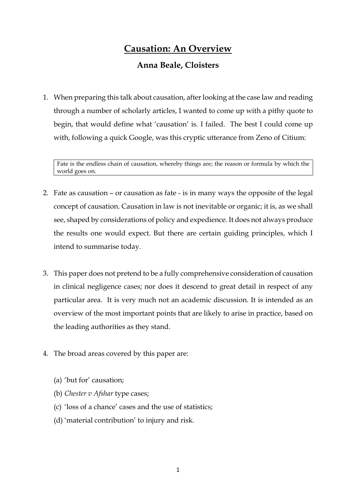# **Causation: An Overview**

# **Anna Beale, Cloisters**

1. When preparing this talk about causation, after looking at the case law and reading through a number of scholarly articles, I wanted to come up with a pithy quote to begin, that would define what 'causation' is. I failed. The best I could come up with, following a quick Google, was this cryptic utterance from Zeno of Citium:

Fate is the endless chain of causation, whereby things are; the reason or formula by which the world goes on.

- 2. Fate as causation or causation as fate is in many ways the opposite of the legal concept of causation. Causation in law is not inevitable or organic; it is, as we shall see, shaped by considerations of policy and expedience. It does not always produce the results one would expect. But there are certain guiding principles, which I intend to summarise today.
- 3. This paper does not pretend to be a fully comprehensive consideration of causation in clinical negligence cases; nor does it descend to great detail in respect of any particular area. It is very much not an academic discussion. It is intended as an overview of the most important points that are likely to arise in practice, based on the leading authorities as they stand.
- 4. The broad areas covered by this paper are:
	- (a) 'but for' causation;
	- (b) *Chester v Afshar* type cases;
	- (c) 'loss of a chance' cases and the use of statistics;
	- (d) 'material contribution' to injury and risk.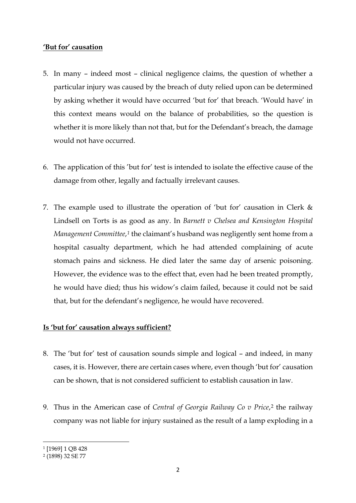# **'But for' causation**

- 5. In many indeed most clinical negligence claims, the question of whether a particular injury was caused by the breach of duty relied upon can be determined by asking whether it would have occurred 'but for' that breach. 'Would have' in this context means would on the balance of probabilities, so the question is whether it is more likely than not that, but for the Defendant's breach, the damage would not have occurred.
- 6. The application of this 'but for' test is intended to isolate the effective cause of the damage from other, legally and factually irrelevant causes.
- 7. The example used to illustrate the operation of 'but for' causation in Clerk & Lindsell on Torts is as good as any. In *Barnett v Chelsea and Kensington Hospital Management Committee*,*[1](#page-1-0)* the claimant's husband was negligently sent home from a hospital casualty department, which he had attended complaining of acute stomach pains and sickness. He died later the same day of arsenic poisoning. However, the evidence was to the effect that, even had he been treated promptly, he would have died; thus his widow's claim failed, because it could not be said that, but for the defendant's negligence, he would have recovered.

# **Is 'but for' causation always sufficient?**

- 8. The 'but for' test of causation sounds simple and logical and indeed, in many cases, it is. However, there are certain cases where, even though 'but for' causation can be shown, that is not considered sufficient to establish causation in law.
- 9. Thus in the American case of *Central of Georgia Railway Co v Price*,[2](#page-1-1) the railway company was not liable for injury sustained as the result of a lamp exploding in a

<span id="page-1-0"></span><sup>1</sup> [1969] 1 QB 428

<span id="page-1-1"></span><sup>2</sup> (1898) 32 SE 77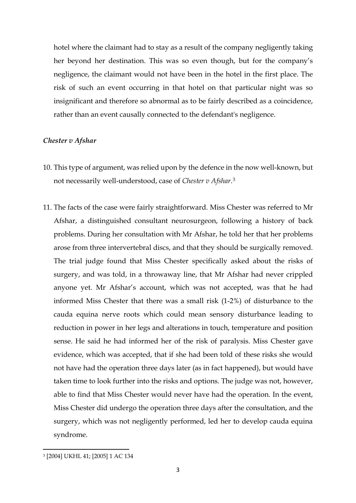hotel where the claimant had to stay as a result of the company negligently taking her beyond her destination. This was so even though, but for the company's negligence, the claimant would not have been in the hotel in the first place. The risk of such an event occurring in that hotel on that particular night was so insignificant and therefore so abnormal as to be fairly described as a coincidence, rather than an event causally connected to the defendant's negligence.

#### *Chester v Afshar*

- 10. This type of argument, was relied upon by the defence in the now well-known, but not necessarily well-understood, case of *Chester v Afshar*.[3](#page-2-0)
- 11. The facts of the case were fairly straightforward. Miss Chester was referred to Mr Afshar, a distinguished consultant neurosurgeon, following a history of back problems. During her consultation with Mr Afshar, he told her that her problems arose from three intervertebral discs, and that they should be surgically removed. The trial judge found that Miss Chester specifically asked about the risks of surgery, and was told, in a throwaway line, that Mr Afshar had never crippled anyone yet. Mr Afshar's account, which was not accepted, was that he had informed Miss Chester that there was a small risk (1-2%) of disturbance to the cauda equina nerve roots which could mean sensory disturbance leading to reduction in power in her legs and alterations in touch, temperature and position sense. He said he had informed her of the risk of paralysis. Miss Chester gave evidence, which was accepted, that if she had been told of these risks she would not have had the operation three days later (as in fact happened), but would have taken time to look further into the risks and options. The judge was not, however, able to find that Miss Chester would never have had the operation. In the event, Miss Chester did undergo the operation three days after the consultation, and the surgery, which was not negligently performed, led her to develop cauda equina syndrome.

<span id="page-2-0"></span><sup>3</sup> [2004] UKHL 41; [2005] 1 AC 134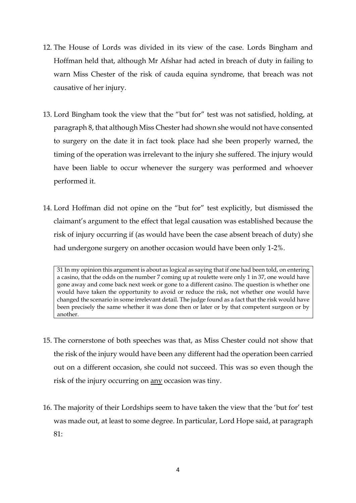- 12. The House of Lords was divided in its view of the case. Lords Bingham and Hoffman held that, although Mr Afshar had acted in breach of duty in failing to warn Miss Chester of the risk of cauda equina syndrome, that breach was not causative of her injury.
- 13. Lord Bingham took the view that the "but for" test was not satisfied, holding, at paragraph 8, that although Miss Chester had shown she would not have consented to surgery on the date it in fact took place had she been properly warned, the timing of the operation was irrelevant to the injury she suffered. The injury would have been liable to occur whenever the surgery was performed and whoever performed it.
- 14. Lord Hoffman did not opine on the "but for" test explicitly, but dismissed the claimant's argument to the effect that legal causation was established because the risk of injury occurring if (as would have been the case absent breach of duty) she had undergone surgery on another occasion would have been only 1-2%.

31 In my opinion this argument is about as logical as saying that if one had been told, on entering a casino, that the odds on the number 7 coming up at roulette were only 1 in 37, one would have gone away and come back next week or gone to a different casino. The question is whether one would have taken the opportunity to avoid or reduce the risk, not whether one would have changed the scenario in some irrelevant detail. The judge found as a fact that the risk would have been precisely the same whether it was done then or later or by that competent surgeon or by another.

- 15. The cornerstone of both speeches was that, as Miss Chester could not show that the risk of the injury would have been any different had the operation been carried out on a different occasion, she could not succeed. This was so even though the risk of the injury occurring on any occasion was tiny.
- 16. The majority of their Lordships seem to have taken the view that the 'but for' test was made out, at least to some degree. In particular, Lord Hope said, at paragraph 81: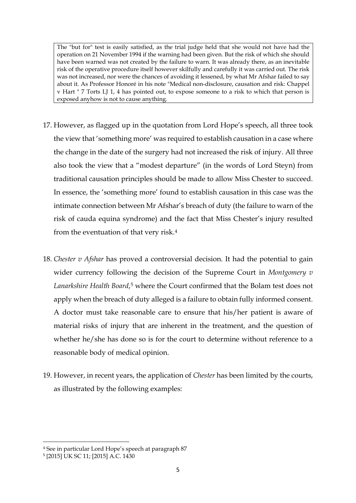The "but for" test is easily satisfied, as the trial judge held that she would not have had the operation on 21 November 1994 if the warning had been given. But the risk of which she should have been warned was not created by the failure to warn. It was already there, as an inevitable risk of the operative procedure itself however skilfully and carefully it was carried out. The risk was not increased, nor were the chances of avoiding it lessened, by what Mr Afshar failed to say about it. As Professor Honoré in his note "Medical non-disclosure, causation and risk: Chappel v Hart " 7 Torts LJ 1, 4 has pointed out, to expose someone to a risk to which that person is exposed anyhow is not to cause anything.

- 17. However, as flagged up in the quotation from Lord Hope's speech, all three took the view that 'something more' was required to establish causation in a case where the change in the date of the surgery had not increased the risk of injury. All three also took the view that a "modest departure" (in the words of Lord Steyn) from traditional causation principles should be made to allow Miss Chester to succeed. In essence, the 'something more' found to establish causation in this case was the intimate connection between Mr Afshar's breach of duty (the failure to warn of the risk of cauda equina syndrome) and the fact that Miss Chester's injury resulted from the eventuation of that very risk.[4](#page-4-0)
- 18. *Chester v Afshar* has proved a controversial decision. It had the potential to gain wider currency following the decision of the Supreme Court in *Montgomery v*  Lanarkshire Health Board,<sup>[5](#page-4-1)</sup> where the Court confirmed that the Bolam test does not apply when the breach of duty alleged is a failure to obtain fully informed consent. A doctor must take reasonable care to ensure that his/her patient is aware of material risks of injury that are inherent in the treatment, and the question of whether he/she has done so is for the court to determine without reference to a reasonable body of medical opinion.
- 19. However, in recent years, the application of *Chester* has been limited by the courts, as illustrated by the following examples:

<span id="page-4-0"></span><sup>4</sup> See in particular Lord Hope's speech at paragraph 87

<span id="page-4-1"></span><sup>5</sup> [2015] UK SC 11; [2015] A.C. 1430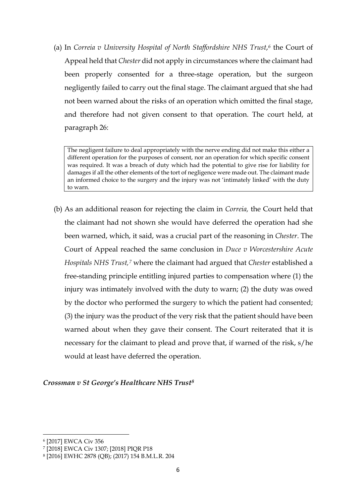(a) In *Correia v University Hospital of North Staffordshire NHS Trust*,<sup>[6](#page-5-0)</sup> the Court of Appeal held that *Chester* did not apply in circumstances where the claimant had been properly consented for a three-stage operation, but the surgeon negligently failed to carry out the final stage. The claimant argued that she had not been warned about the risks of an operation which omitted the final stage, and therefore had not given consent to that operation. The court held, at paragraph 26:

The negligent failure to deal appropriately with the nerve ending did not make this either a different operation for the purposes of consent, nor an operation for which specific consent was required. It was a breach of duty which had the potential to give rise for liability for damages if all the other elements of the tort of negligence were made out. The claimant made an informed choice to the surgery and the injury was not 'intimately linked' with the duty to warn.

(b) As an additional reason for rejecting the claim in *Correia,* the Court held that the claimant had not shown she would have deferred the operation had she been warned, which, it said, was a crucial part of the reasoning in *Chester*. The Court of Appeal reached the same conclusion in *Duce v Worcestershire Acute Hospitals NHS Trust,[7](#page-5-1)* where the claimant had argued that *Chester* established a free-standing principle entitling injured parties to compensation where (1) the injury was intimately involved with the duty to warn; (2) the duty was owed by the doctor who performed the surgery to which the patient had consented; (3) the injury was the product of the very risk that the patient should have been warned about when they gave their consent. The Court reiterated that it is necessary for the claimant to plead and prove that, if warned of the risk, s/he would at least have deferred the operation.

## *Crossman v St George's Healthcare NHS Trust[8](#page-5-2)*

<span id="page-5-0"></span><sup>6</sup> [2017] EWCA Civ 356

<span id="page-5-1"></span><sup>7</sup> [2018] EWCA Civ 1307; [2018] PIQR P18

<span id="page-5-2"></span><sup>8</sup> [2016] EWHC 2878 (QB); (2017) 154 B.M.L.R. 204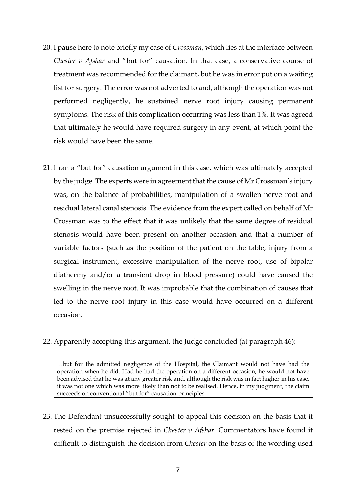- 20. I pause here to note briefly my case of *Crossman*, which lies at the interface between *Chester v Afshar* and "but for" causation. In that case, a conservative course of treatment was recommended for the claimant, but he was in error put on a waiting list for surgery. The error was not adverted to and, although the operation was not performed negligently, he sustained nerve root injury causing permanent symptoms. The risk of this complication occurring was less than 1%. It was agreed that ultimately he would have required surgery in any event, at which point the risk would have been the same.
- 21. I ran a "but for" causation argument in this case, which was ultimately accepted by the judge. The experts were in agreement that the cause of Mr Crossman's injury was, on the balance of probabilities, manipulation of a swollen nerve root and residual lateral canal stenosis. The evidence from the expert called on behalf of Mr Crossman was to the effect that it was unlikely that the same degree of residual stenosis would have been present on another occasion and that a number of variable factors (such as the position of the patient on the table, injury from a surgical instrument, excessive manipulation of the nerve root, use of bipolar diathermy and/or a transient drop in blood pressure) could have caused the swelling in the nerve root. It was improbable that the combination of causes that led to the nerve root injury in this case would have occurred on a different occasion.
- 22. Apparently accepting this argument, the Judge concluded (at paragraph 46):

…but for the admitted negligence of the Hospital, the Claimant would not have had the operation when he did. Had he had the operation on a different occasion, he would not have been advised that he was at any greater risk and, although the risk was in fact higher in his case, it was not one which was more likely than not to be realised. Hence, in my judgment, the claim succeeds on conventional "but for" causation principles.

23. The Defendant unsuccessfully sought to appeal this decision on the basis that it rested on the premise rejected in *Chester v Afshar*. Commentators have found it difficult to distinguish the decision from *Chester* on the basis of the wording used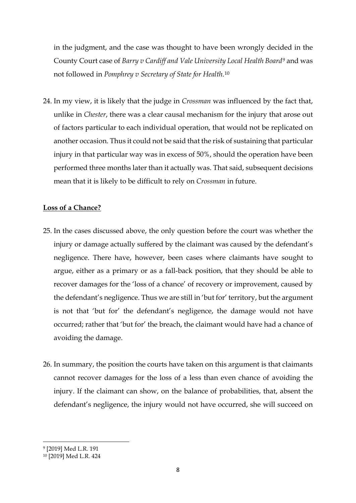in the judgment, and the case was thought to have been wrongly decided in the County Court case of *Barry v Cardiff and Vale University Local Health Board[9](#page-7-0)* and was not followed in *Pomphrey v Secretary of State for Health*.[10](#page-7-1)

24. In my view, it is likely that the judge in *Crossman* was influenced by the fact that, unlike in *Chester*, there was a clear causal mechanism for the injury that arose out of factors particular to each individual operation, that would not be replicated on another occasion. Thus it could not be said that the risk of sustaining that particular injury in that particular way was in excess of 50%, should the operation have been performed three months later than it actually was. That said, subsequent decisions mean that it is likely to be difficult to rely on *Crossman* in future.

## **Loss of a Chance?**

- 25. In the cases discussed above, the only question before the court was whether the injury or damage actually suffered by the claimant was caused by the defendant's negligence. There have, however, been cases where claimants have sought to argue, either as a primary or as a fall-back position, that they should be able to recover damages for the 'loss of a chance' of recovery or improvement, caused by the defendant's negligence. Thus we are still in 'but for' territory, but the argument is not that 'but for' the defendant's negligence, the damage would not have occurred; rather that 'but for' the breach, the claimant would have had a chance of avoiding the damage.
- 26. In summary, the position the courts have taken on this argument is that claimants cannot recover damages for the loss of a less than even chance of avoiding the injury. If the claimant can show, on the balance of probabilities, that, absent the defendant's negligence, the injury would not have occurred, she will succeed on

<span id="page-7-0"></span><sup>9</sup> [2019] Med L.R. 191

<span id="page-7-1"></span><sup>10</sup> [2019] Med L.R. 424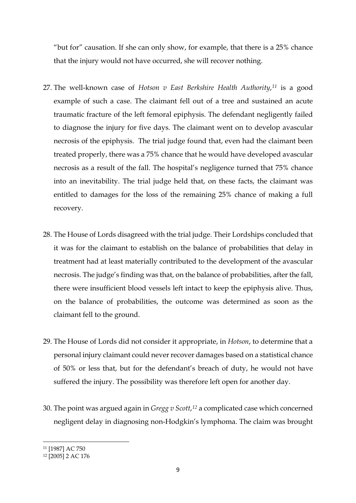"but for" causation. If she can only show, for example, that there is a 25% chance that the injury would not have occurred, she will recover nothing.

- 27. The well-known case of *Hotson v East Berkshire Health Authority*,*[11](#page-8-0)* is a good example of such a case. The claimant fell out of a tree and sustained an acute traumatic fracture of the left femoral epiphysis. The defendant negligently failed to diagnose the injury for five days. The claimant went on to develop avascular necrosis of the epiphysis. The trial judge found that, even had the claimant been treated properly, there was a 75% chance that he would have developed avascular necrosis as a result of the fall. The hospital's negligence turned that 75% chance into an inevitability. The trial judge held that, on these facts, the claimant was entitled to damages for the loss of the remaining 25% chance of making a full recovery.
- 28. The House of Lords disagreed with the trial judge. Their Lordships concluded that it was for the claimant to establish on the balance of probabilities that delay in treatment had at least materially contributed to the development of the avascular necrosis. The judge's finding was that, on the balance of probabilities, after the fall, there were insufficient blood vessels left intact to keep the epiphysis alive. Thus, on the balance of probabilities, the outcome was determined as soon as the claimant fell to the ground.
- 29. The House of Lords did not consider it appropriate, in *Hotson*, to determine that a personal injury claimant could never recover damages based on a statistical chance of 50% or less that, but for the defendant's breach of duty, he would not have suffered the injury. The possibility was therefore left open for another day.
- 30. The point was argued again in *Gregg v Scott*,*[12](#page-8-1)* a complicated case which concerned negligent delay in diagnosing non-Hodgkin's lymphoma. The claim was brought

<span id="page-8-0"></span><sup>11</sup> [1987] AC 750

<span id="page-8-1"></span><sup>12</sup> [2005] 2 AC 176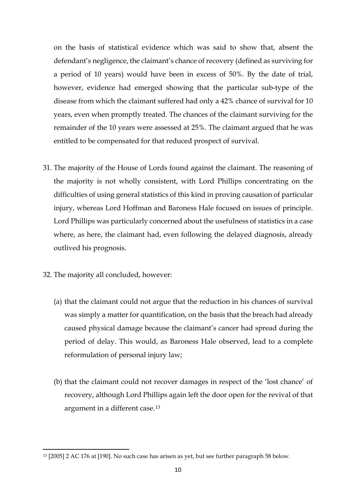on the basis of statistical evidence which was said to show that, absent the defendant's negligence, the claimant's chance of recovery (defined as surviving for a period of 10 years) would have been in excess of 50%. By the date of trial, however, evidence had emerged showing that the particular sub-type of the disease from which the claimant suffered had only a 42% chance of survival for 10 years, even when promptly treated. The chances of the claimant surviving for the remainder of the 10 years were assessed at 25%. The claimant argued that he was entitled to be compensated for that reduced prospect of survival.

- 31. The majority of the House of Lords found against the claimant. The reasoning of the majority is not wholly consistent, with Lord Phillips concentrating on the difficulties of using general statistics of this kind in proving causation of particular injury, whereas Lord Hoffman and Baroness Hale focused on issues of principle. Lord Phillips was particularly concerned about the usefulness of statistics in a case where, as here, the claimant had, even following the delayed diagnosis, already outlived his prognosis.
- 32. The majority all concluded, however:
	- (a) that the claimant could not argue that the reduction in his chances of survival was simply a matter for quantification, on the basis that the breach had already caused physical damage because the claimant's cancer had spread during the period of delay. This would, as Baroness Hale observed, lead to a complete reformulation of personal injury law;
	- (b) that the claimant could not recover damages in respect of the 'lost chance' of recovery, although Lord Phillips again left the door open for the revival of that argument in a different case.[13](#page-9-0)

<span id="page-9-0"></span><sup>13</sup> [2005] 2 AC 176 at [190]. No such case has arisen as yet, but see further paragraph 58 below.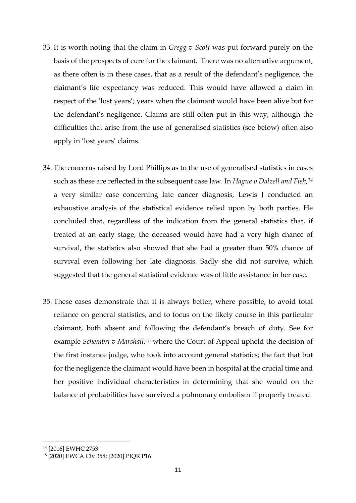- 33. It is worth noting that the claim in *Gregg v Scott* was put forward purely on the basis of the prospects of cure for the claimant. There was no alternative argument, as there often is in these cases, that as a result of the defendant's negligence, the claimant's life expectancy was reduced. This would have allowed a claim in respect of the 'lost years'; years when the claimant would have been alive but for the defendant's negligence. Claims are still often put in this way, although the difficulties that arise from the use of generalised statistics (see below) often also apply in 'lost years' claims.
- 34. The concerns raised by Lord Phillips as to the use of generalised statistics in cases such as these are reflected in the subsequent case law. In *Hague v Dalzell and Fish,[14](#page-10-0)* a very similar case concerning late cancer diagnosis, Lewis J conducted an exhaustive analysis of the statistical evidence relied upon by both parties. He concluded that, regardless of the indication from the general statistics that, if treated at an early stage, the deceased would have had a very high chance of survival, the statistics also showed that she had a greater than 50% chance of survival even following her late diagnosis. Sadly she did not survive, which suggested that the general statistical evidence was of little assistance in her case.
- 35. These cases demonstrate that it is always better, where possible, to avoid total reliance on general statistics, and to focus on the likely course in this particular claimant, both absent and following the defendant's breach of duty. See for example *Schembri v Marshall*,<sup>[15](#page-10-1)</sup> where the Court of Appeal upheld the decision of the first instance judge, who took into account general statistics; the fact that but for the negligence the claimant would have been in hospital at the crucial time and her positive individual characteristics in determining that she would on the balance of probabilities have survived a pulmonary embolism if properly treated.

<span id="page-10-0"></span><sup>14</sup> [2016] EWHC 2753

<span id="page-10-1"></span><sup>15</sup> [2020] EWCA Civ 358; [2020] PIQR P16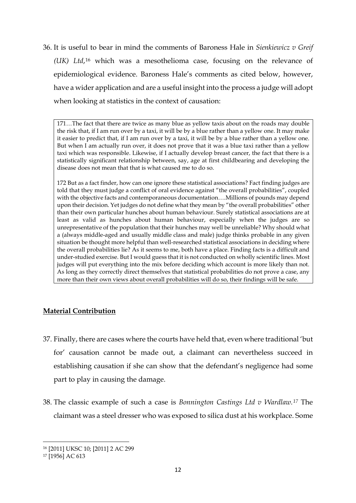36. It is useful to bear in mind the comments of Baroness Hale in *Sienkiewicz v Greif (UK) Ltd*,[16](#page-11-0) which was a mesothelioma case, focusing on the relevance of epidemiological evidence. Baroness Hale's comments as cited below, however, have a wider application and are a useful insight into the process a judge will adopt when looking at statistics in the context of causation:

171…The fact that there are twice as many blue as yellow taxis about on the roads may double the risk that, if I am run over by a taxi, it will be by a blue rather than a yellow one. It may make it easier to predict that, if I am run over by a taxi, it will be by a blue rather than a yellow one. But when I am actually run over, it does not prove that it was a blue taxi rather than a yellow taxi which was responsible. Likewise, if I actually develop breast cancer, the fact that there is a statistically significant relationship between, say, age at first childbearing and developing the disease does not mean that that is what caused me to do so.

172 But as a fact finder, how can one ignore these statistical associations? Fact finding judges are told that they must judge a conflict of oral evidence against "the overall probabilities", coupled with the objective facts and contemporaneous documentation….Millions of pounds may depend upon their decision. Yet judges do not define what they mean by "the overall probabilities" other than their own particular hunches about human behaviour. Surely statistical associations are at least as valid as hunches about human behaviour, especially when the judges are so unrepresentative of the population that their hunches may well be unreliable? Why should what a (always middle-aged and usually middle class and male) judge thinks probable in any given situation be thought more helpful than well-researched statistical associations in deciding where the overall probabilities lie? As it seems to me, both have a place. Finding facts is a difficult and under-studied exercise. But I would guess that it is not conducted on wholly scientific lines. Most judges will put everything into the mix before deciding which account is more likely than not. As long as they correctly direct themselves that statistical probabilities do not prove a case, any more than their own views about overall probabilities will do so, their findings will be safe.

## **Material Contribution**

- 37. Finally, there are cases where the courts have held that, even where traditional 'but for' causation cannot be made out, a claimant can nevertheless succeed in establishing causation if she can show that the defendant's negligence had some part to play in causing the damage.
- 38. The classic example of such a case is *Bonnington Castings Ltd v Wardlaw.[17](#page-11-1)* The claimant was a steel dresser who was exposed to silica dust at his workplace. Some

<span id="page-11-0"></span><sup>16</sup> [2011] UKSC 10; [2011] 2 AC 299

<span id="page-11-1"></span><sup>17</sup> [1956] AC 613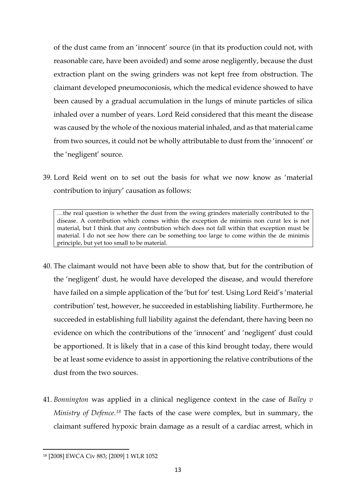of the dust came from an 'innocent' source (in that its production could not, with reasonable care, have been avoided) and some arose negligently, because the dust extraction plant on the swing grinders was not kept free from obstruction. The claimant developed pneumoconiosis, which the medical evidence showed to have been caused by a gradual accumulation in the lungs of minute particles of silica inhaled over a number of years. Lord Reid considered that this meant the disease was caused by the whole of the noxious material inhaled, and as that material came from two sources, it could not be wholly attributable to dust from the 'innocent' or the 'negligent' source.

39. Lord Reid went on to set out the basis for what we now know as 'material contribution to injury' causation as follows:

…the real question is whether the dust from the swing grinders materially contributed to the disease. A contribution which comes within the exception de minimis non curat lex is not material, but I think that any contribution which does not fall within that exception must be material. I do not see how there can be something too large to come within the de minimis principle, but yet too small to be material.

- 40. The claimant would not have been able to show that, but for the contribution of the 'negligent' dust, he would have developed the disease, and would therefore have failed on a simple application of the 'but for' test. Using Lord Reid's 'material contribution' test, however, he succeeded in establishing liability. Furthermore, he succeeded in establishing full liability against the defendant, there having been no evidence on which the contributions of the 'innocent' and 'negligent' dust could be apportioned. It is likely that in a case of this kind brought today, there would be at least some evidence to assist in apportioning the relative contributions of the dust from the two sources.
- 41. *Bonnington* was applied in a clinical negligence context in the case of *Bailey v Ministry of Defence*.*[18](#page-12-0)* The facts of the case were complex, but in summary, the claimant suffered hypoxic brain damage as a result of a cardiac arrest, which in

<span id="page-12-0"></span><sup>18</sup> [2008] EWCA Civ 883; [2009] 1 WLR 1052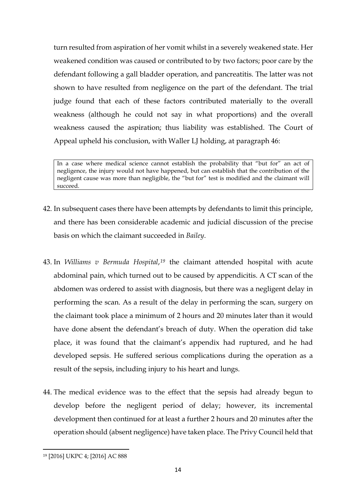turn resulted from aspiration of her vomit whilst in a severely weakened state. Her weakened condition was caused or contributed to by two factors; poor care by the defendant following a gall bladder operation, and pancreatitis. The latter was not shown to have resulted from negligence on the part of the defendant. The trial judge found that each of these factors contributed materially to the overall weakness (although he could not say in what proportions) and the overall weakness caused the aspiration; thus liability was established. The Court of Appeal upheld his conclusion, with Waller LJ holding, at paragraph 46:

In a case where medical science cannot establish the probability that "but for" an act of negligence, the injury would not have happened, but can establish that the contribution of the negligent cause was more than negligible, the "but for" test is modified and the claimant will succeed.

- 42. In subsequent cases there have been attempts by defendants to limit this principle, and there has been considerable academic and judicial discussion of the precise basis on which the claimant succeeded in *Bailey*.
- 43. In *Williams v Bermuda Hospital*,*[19](#page-13-0)* the claimant attended hospital with acute abdominal pain, which turned out to be caused by appendicitis. A CT scan of the abdomen was ordered to assist with diagnosis, but there was a negligent delay in performing the scan. As a result of the delay in performing the scan, surgery on the claimant took place a minimum of 2 hours and 20 minutes later than it would have done absent the defendant's breach of duty. When the operation did take place, it was found that the claimant's appendix had ruptured, and he had developed sepsis. He suffered serious complications during the operation as a result of the sepsis, including injury to his heart and lungs.
- 44. The medical evidence was to the effect that the sepsis had already begun to develop before the negligent period of delay; however, its incremental development then continued for at least a further 2 hours and 20 minutes after the operation should (absent negligence) have taken place. The Privy Council held that

<span id="page-13-0"></span><sup>19</sup> [2016] UKPC 4; [2016] AC 888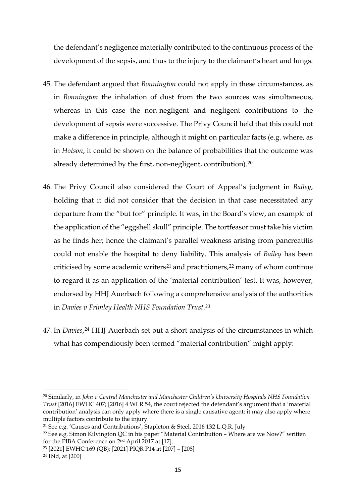the defendant's negligence materially contributed to the continuous process of the development of the sepsis, and thus to the injury to the claimant's heart and lungs.

- 45. The defendant argued that *Bonnington* could not apply in these circumstances, as in *Bonnington* the inhalation of dust from the two sources was simultaneous, whereas in this case the non-negligent and negligent contributions to the development of sepsis were successive. The Privy Council held that this could not make a difference in principle, although it might on particular facts (e.g. where, as in *Hotson*, it could be shown on the balance of probabilities that the outcome was already determined by the first, non-negligent, contribution).[20](#page-14-0)
- 46. The Privy Council also considered the Court of Appeal's judgment in *Bailey*, holding that it did not consider that the decision in that case necessitated any departure from the "but for" principle. It was, in the Board's view, an example of the application of the "eggshell skull" principle. The tortfeasor must take his victim as he finds her; hence the claimant's parallel weakness arising from pancreatitis could not enable the hospital to deny liability. This analysis of *Bailey* has been criticised by some academic writers<sup>[21](#page-14-1)</sup> and practitioners,<sup>[22](#page-14-2)</sup> many of whom continue to regard it as an application of the 'material contribution' test. It was, however, endorsed by HHJ Auerbach following a comprehensive analysis of the authorities in *Davies v Frimley Health NHS Foundation Trust*.*[23](#page-14-3)*
- 47. In *Davies*,[24](#page-14-4) HHJ Auerbach set out a short analysis of the circumstances in which what has compendiously been termed "material contribution" might apply:

<span id="page-14-0"></span><sup>20</sup> Similarly, in *John v Central Manchester and Manchester Children's University Hospitals NHS Foundation Trust* [2016] EWHC 407; [2016] 4 WLR 54, the court rejected the defendant's argument that a 'material contribution' analysis can only apply where there is a single causative agent; it may also apply where multiple factors contribute to the injury.

<span id="page-14-1"></span><sup>21</sup> See e.g. 'Causes and Contributions', Stapleton & Steel, 2016 132 L.Q.R. July

<span id="page-14-2"></span><sup>22</sup> See e.g. Simon Kilvington QC in his paper "Material Contribution – Where are we Now?" written for the PIBA Conference on 2nd April 2017 at [17].

<span id="page-14-3"></span><sup>23</sup> [2021] EWHC 169 (QB); [2021] PIQR P14 at [207] – [208]

<span id="page-14-4"></span><sup>24</sup> Ibid, at [200]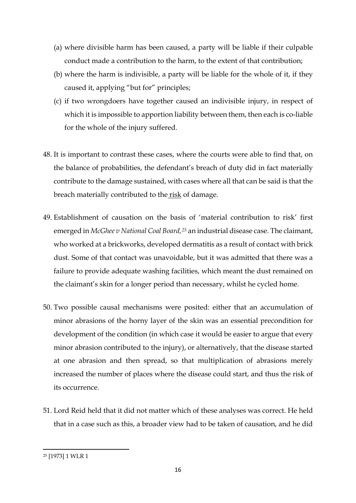- (a) where divisible harm has been caused, a party will be liable if their culpable conduct made a contribution to the harm, to the extent of that contribution;
- (b) where the harm is indivisible, a party will be liable for the whole of it, if they caused it, applying "but for" principles;
- (c) if two wrongdoers have together caused an indivisible injury, in respect of which it is impossible to apportion liability between them, then each is co-liable for the whole of the injury suffered.
- 48. It is important to contrast these cases, where the courts were able to find that, on the balance of probabilities, the defendant's breach of duty did in fact materially contribute to the damage sustained, with cases where all that can be said is that the breach materially contributed to the risk of damage.
- 49. Establishment of causation on the basis of 'material contribution to risk' first emerged in *McGhee v National Coal Board,[25](#page-15-0)* an industrial disease case. The claimant, who worked at a brickworks, developed dermatitis as a result of contact with brick dust. Some of that contact was unavoidable, but it was admitted that there was a failure to provide adequate washing facilities, which meant the dust remained on the claimant's skin for a longer period than necessary, whilst he cycled home.
- 50. Two possible causal mechanisms were posited: either that an accumulation of minor abrasions of the horny layer of the skin was an essential precondition for development of the condition (in which case it would be easier to argue that every minor abrasion contributed to the injury), or alternatively, that the disease started at one abrasion and then spread, so that multiplication of abrasions merely increased the number of places where the disease could start, and thus the risk of its occurrence.
- 51. Lord Reid held that it did not matter which of these analyses was correct. He held that in a case such as this, a broader view had to be taken of causation, and he did

<span id="page-15-0"></span><sup>25</sup> [1973] 1 WLR 1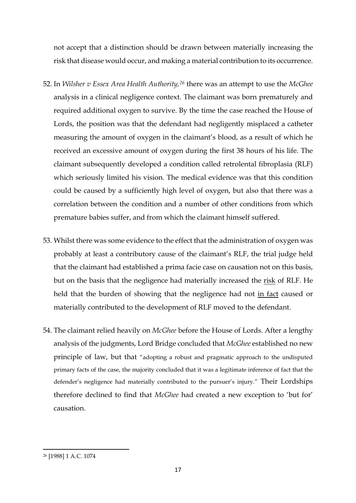not accept that a distinction should be drawn between materially increasing the risk that disease would occur, and making a material contribution to its occurrence.

- 52. In *Wilsher v Essex Area Health Authority,[26](#page-16-0)* there was an attempt to use the *McGhee*  analysis in a clinical negligence context. The claimant was born prematurely and required additional oxygen to survive. By the time the case reached the House of Lords, the position was that the defendant had negligently misplaced a catheter measuring the amount of oxygen in the claimant's blood, as a result of which he received an excessive amount of oxygen during the first 38 hours of his life. The claimant subsequently developed a condition called retrolental fibroplasia (RLF) which seriously limited his vision. The medical evidence was that this condition could be caused by a sufficiently high level of oxygen, but also that there was a correlation between the condition and a number of other conditions from which premature babies suffer, and from which the claimant himself suffered.
- 53. Whilst there was some evidence to the effect that the administration of oxygen was probably at least a contributory cause of the claimant's RLF, the trial judge held that the claimant had established a prima facie case on causation not on this basis, but on the basis that the negligence had materially increased the risk of RLF. He held that the burden of showing that the negligence had not in fact caused or materially contributed to the development of RLF moved to the defendant.
- 54. The claimant relied heavily on *McGhee* before the House of Lords. After a lengthy analysis of the judgments, Lord Bridge concluded that *McGhee* established no new principle of law, but that "adopting a robust and pragmatic approach to the undisputed primary facts of the case, the majority concluded that it was a legitimate inference of fact that the defender's negligence had materially contributed to the pursuer's injury." Their Lordships therefore declined to find that *McGhee* had created a new exception to 'but for' causation.

<span id="page-16-0"></span><sup>26</sup> [1988] 1 A.C. 1074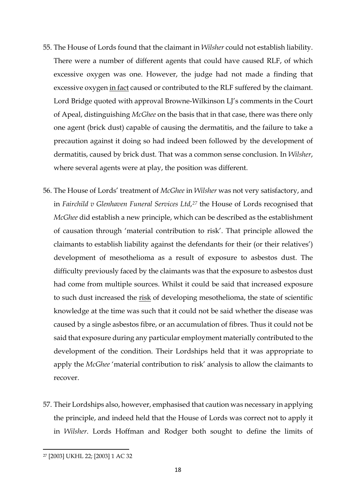- 55. The House of Lords found that the claimant in *Wilsher* could not establish liability. There were a number of different agents that could have caused RLF, of which excessive oxygen was one. However, the judge had not made a finding that excessive oxygen in fact caused or contributed to the RLF suffered by the claimant. Lord Bridge quoted with approval Browne-Wilkinson LJ's comments in the Court of Apeal, distinguishing *McGhee* on the basis that in that case, there was there only one agent (brick dust) capable of causing the dermatitis, and the failure to take a precaution against it doing so had indeed been followed by the development of dermatitis, caused by brick dust. That was a common sense conclusion. In *Wilsher*, where several agents were at play, the position was different.
- 56. The House of Lords' treatment of *McGhee* in *Wilsher* was not very satisfactory, and in *Fairchild v Glenhaven Funeral Services Ltd*,*[27](#page-17-0)* the House of Lords recognised that *McGhee* did establish a new principle, which can be described as the establishment of causation through 'material contribution to risk'. That principle allowed the claimants to establish liability against the defendants for their (or their relatives') development of mesothelioma as a result of exposure to asbestos dust. The difficulty previously faced by the claimants was that the exposure to asbestos dust had come from multiple sources. Whilst it could be said that increased exposure to such dust increased the risk of developing mesothelioma, the state of scientific knowledge at the time was such that it could not be said whether the disease was caused by a single asbestos fibre, or an accumulation of fibres. Thus it could not be said that exposure during any particular employment materially contributed to the development of the condition. Their Lordships held that it was appropriate to apply the *McGhee* 'material contribution to risk' analysis to allow the claimants to recover.
- 57. Their Lordships also, however, emphasised that caution was necessary in applying the principle, and indeed held that the House of Lords was correct not to apply it in *Wilsher*. Lords Hoffman and Rodger both sought to define the limits of

<span id="page-17-0"></span><sup>27</sup> [2003] UKHL 22; [2003] 1 AC 32